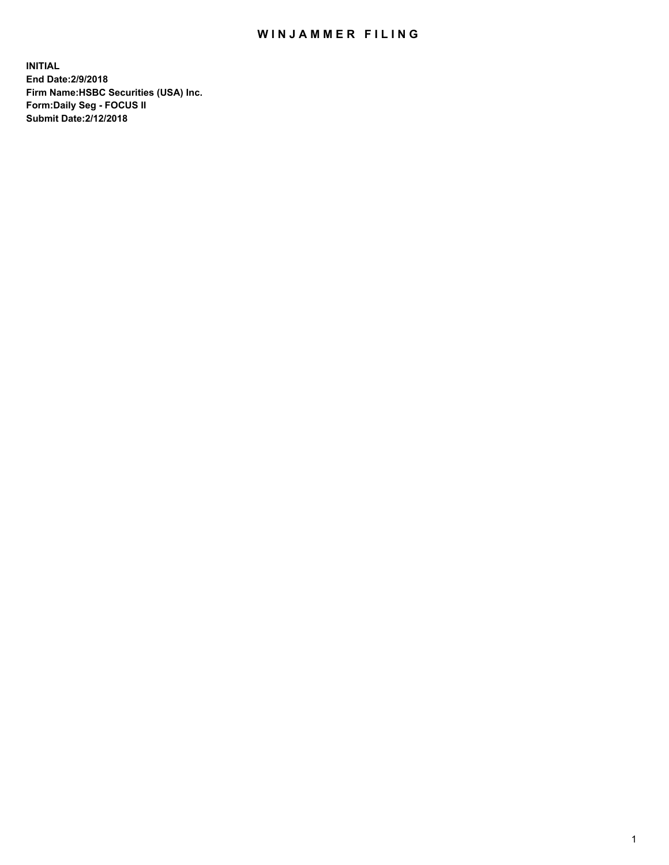## WIN JAMMER FILING

**INITIAL End Date:2/9/2018 Firm Name:HSBC Securities (USA) Inc. Form:Daily Seg - FOCUS II Submit Date:2/12/2018**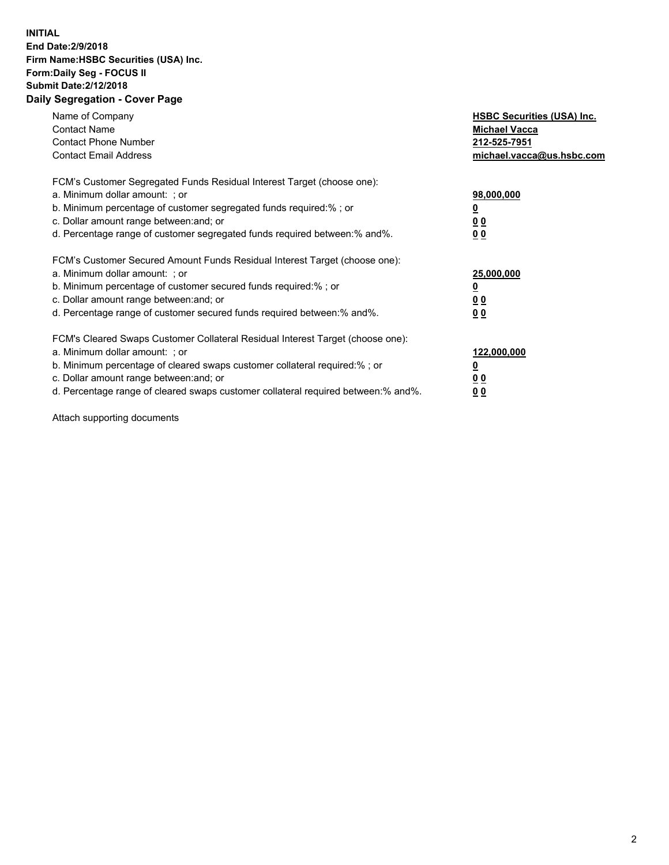## **INITIAL End Date:2/9/2018 Firm Name:HSBC Securities (USA) Inc. Form:Daily Seg - FOCUS II Submit Date:2/12/2018 Daily Segregation - Cover Page**

| Name of Company<br><b>Contact Name</b><br><b>Contact Phone Number</b><br><b>Contact Email Address</b>                                                                                                                                                                                                                         | <b>HSBC Securities (USA) Inc.</b><br><b>Michael Vacca</b><br>212-525-7951<br>michael.vacca@us.hsbc.com |
|-------------------------------------------------------------------------------------------------------------------------------------------------------------------------------------------------------------------------------------------------------------------------------------------------------------------------------|--------------------------------------------------------------------------------------------------------|
| FCM's Customer Segregated Funds Residual Interest Target (choose one):<br>a. Minimum dollar amount: ; or<br>b. Minimum percentage of customer segregated funds required:%; or<br>c. Dollar amount range between: and; or<br>d. Percentage range of customer segregated funds required between: % and %.                       | 98,000,000<br><u>0</u><br><u>00</u><br>00                                                              |
| FCM's Customer Secured Amount Funds Residual Interest Target (choose one):<br>a. Minimum dollar amount: ; or<br>b. Minimum percentage of customer secured funds required:%; or<br>c. Dollar amount range between: and; or<br>d. Percentage range of customer secured funds required between: % and %.                         | 25,000,000<br><u>0</u><br><u>00</u><br>00                                                              |
| FCM's Cleared Swaps Customer Collateral Residual Interest Target (choose one):<br>a. Minimum dollar amount: ; or<br>b. Minimum percentage of cleared swaps customer collateral required:%; or<br>c. Dollar amount range between: and; or<br>d. Percentage range of cleared swaps customer collateral required between:% and%. | 122,000,000<br><u>0</u><br><u>00</u><br><u>00</u>                                                      |

Attach supporting documents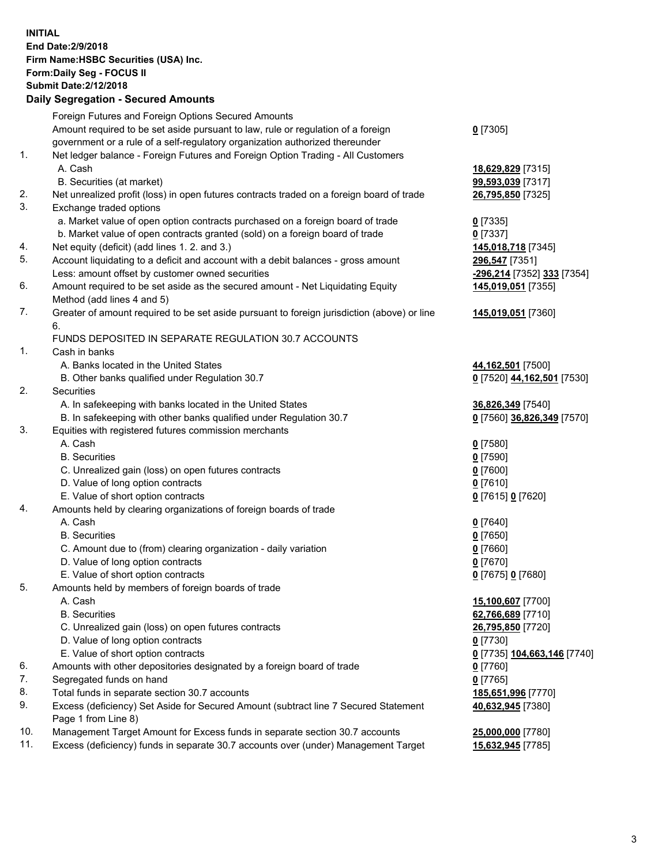**INITIAL End Date:2/9/2018 Firm Name:HSBC Securities (USA) Inc. Form:Daily Seg - FOCUS II Submit Date:2/12/2018 Daily Segregation - Secured Amounts**

Foreign Futures and Foreign Options Secured Amounts Amount required to be set aside pursuant to law, rule or regulation of a foreign government or a rule of a self-regulatory organization authorized thereunder **0** [7305] 1. Net ledger balance - Foreign Futures and Foreign Option Trading - All Customers A. Cash **18,629,829** [7315] B. Securities (at market) **99,593,039** [7317] 2. Net unrealized profit (loss) in open futures contracts traded on a foreign board of trade **26,795,850** [7325] 3. Exchange traded options a. Market value of open option contracts purchased on a foreign board of trade **0** [7335] b. Market value of open contracts granted (sold) on a foreign board of trade **0** [7337] 4. Net equity (deficit) (add lines 1. 2. and 3.) **145,018,718** [7345] 5. Account liquidating to a deficit and account with a debit balances - gross amount **296,547** [7351] Less: amount offset by customer owned securities **-296,214** [7352] **333** [7354] 6. Amount required to be set aside as the secured amount - Net Liquidating Equity Method (add lines 4 and 5) **145,019,051** [7355] 7. Greater of amount required to be set aside pursuant to foreign jurisdiction (above) or line 6. **145,019,051** [7360] FUNDS DEPOSITED IN SEPARATE REGULATION 30.7 ACCOUNTS 1. Cash in banks A. Banks located in the United States **44,162,501** [7500] B. Other banks qualified under Regulation 30.7 **0** [7520] **44,162,501** [7530] 2. Securities A. In safekeeping with banks located in the United States **36,826,349** [7540] B. In safekeeping with other banks qualified under Regulation 30.7 **0** [7560] **36,826,349** [7570] 3. Equities with registered futures commission merchants A. Cash **0** [7580] B. Securities **0** [7590] C. Unrealized gain (loss) on open futures contracts **0** [7600] D. Value of long option contracts **0** [7610] E. Value of short option contracts **0** [7615] **0** [7620] 4. Amounts held by clearing organizations of foreign boards of trade A. Cash **0** [7640] B. Securities **0** [7650] C. Amount due to (from) clearing organization - daily variation **0** [7660] D. Value of long option contracts **0** [7670] E. Value of short option contracts **0** [7675] **0** [7680] 5. Amounts held by members of foreign boards of trade A. Cash **15,100,607** [7700] B. Securities **62,766,689** [7710] C. Unrealized gain (loss) on open futures contracts **26,795,850** [7720] D. Value of long option contracts **0** [7730] E. Value of short option contracts **0** [7735] **104,663,146** [7740] 6. Amounts with other depositories designated by a foreign board of trade **0** [7760] 7. Segregated funds on hand<br>
8. Total funds in separate section 30.7 accounts<br> **185,651,996** [7770] 8. Total funds in separate section 30.7 accounts 9. Excess (deficiency) Set Aside for Secured Amount (subtract line 7 Secured Statement Page 1 from Line 8) **40,632,945** [7380] 10. Management Target Amount for Excess funds in separate section 30.7 accounts **25,000,000** [7780] 11. Excess (deficiency) funds in separate 30.7 accounts over (under) Management Target **15,632,945** [7785]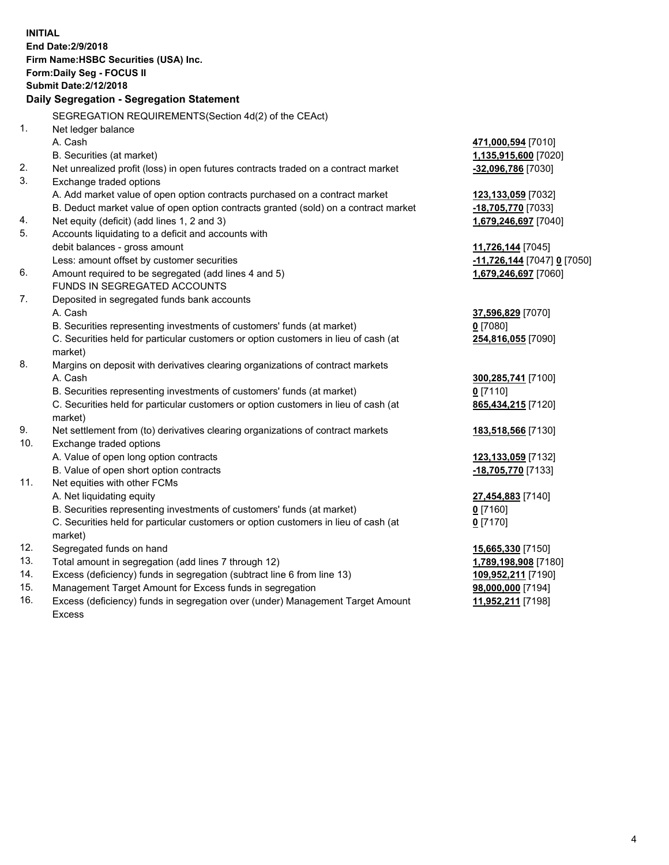| <b>INITIAL</b> | <b>End Date: 2/9/2018</b><br>Firm Name: HSBC Securities (USA) Inc.<br>Form: Daily Seg - FOCUS II<br><b>Submit Date: 2/12/2018</b><br>Daily Segregation - Segregation Statement |                                            |  |  |
|----------------|--------------------------------------------------------------------------------------------------------------------------------------------------------------------------------|--------------------------------------------|--|--|
|                |                                                                                                                                                                                |                                            |  |  |
| 1.             | SEGREGATION REQUIREMENTS(Section 4d(2) of the CEAct)<br>Net ledger balance                                                                                                     |                                            |  |  |
|                | A. Cash                                                                                                                                                                        | 471,000,594 [7010]                         |  |  |
|                | B. Securities (at market)                                                                                                                                                      | 1,135,915,600 [7020]                       |  |  |
| 2.             | Net unrealized profit (loss) in open futures contracts traded on a contract market                                                                                             | -32,096,786 [7030]                         |  |  |
| 3.             | Exchange traded options                                                                                                                                                        |                                            |  |  |
|                | A. Add market value of open option contracts purchased on a contract market                                                                                                    | 123,133,059 [7032]                         |  |  |
|                | B. Deduct market value of open option contracts granted (sold) on a contract market                                                                                            | -18,705,770 [7033]                         |  |  |
| 4.             | Net equity (deficit) (add lines 1, 2 and 3)                                                                                                                                    | 1,679,246,697 [7040]                       |  |  |
| 5.             | Accounts liquidating to a deficit and accounts with                                                                                                                            |                                            |  |  |
|                | debit balances - gross amount                                                                                                                                                  | 11,726,144 [7045]                          |  |  |
|                | Less: amount offset by customer securities                                                                                                                                     | -11,726,144 [7047] 0 [7050]                |  |  |
| 6.             | Amount required to be segregated (add lines 4 and 5)                                                                                                                           | 1,679,246,697 [7060]                       |  |  |
|                | FUNDS IN SEGREGATED ACCOUNTS                                                                                                                                                   |                                            |  |  |
| 7.             | Deposited in segregated funds bank accounts                                                                                                                                    |                                            |  |  |
|                | A. Cash                                                                                                                                                                        | 37,596,829 [7070]                          |  |  |
|                | B. Securities representing investments of customers' funds (at market)                                                                                                         | $0$ [7080]                                 |  |  |
|                | C. Securities held for particular customers or option customers in lieu of cash (at<br>market)                                                                                 | 254,816,055 [7090]                         |  |  |
| 8.             | Margins on deposit with derivatives clearing organizations of contract markets                                                                                                 |                                            |  |  |
|                | A. Cash                                                                                                                                                                        | 300,285,741 [7100]                         |  |  |
|                | B. Securities representing investments of customers' funds (at market)                                                                                                         | $0$ [7110]                                 |  |  |
|                | C. Securities held for particular customers or option customers in lieu of cash (at<br>market)                                                                                 | 865,434,215 [7120]                         |  |  |
| 9.             | Net settlement from (to) derivatives clearing organizations of contract markets                                                                                                | 183,518,566 [7130]                         |  |  |
| 10.            | Exchange traded options                                                                                                                                                        |                                            |  |  |
|                | A. Value of open long option contracts                                                                                                                                         | 123,133,059 [7132]                         |  |  |
|                | B. Value of open short option contracts                                                                                                                                        | -18,705,770 [7133]                         |  |  |
| 11.            | Net equities with other FCMs                                                                                                                                                   |                                            |  |  |
|                | A. Net liquidating equity                                                                                                                                                      | 27,454,883 [7140]                          |  |  |
|                | B. Securities representing investments of customers' funds (at market)                                                                                                         | $0$ [7160]                                 |  |  |
|                | C. Securities held for particular customers or option customers in lieu of cash (at                                                                                            | $0$ [7170]                                 |  |  |
|                | market)                                                                                                                                                                        |                                            |  |  |
| 12.<br>13.     | Segregated funds on hand                                                                                                                                                       | 15,665,330 [7150]                          |  |  |
| 14.            | Total amount in segregation (add lines 7 through 12)<br>Excess (deficiency) funds in segregation (subtract line 6 from line 13)                                                | 1,789,198,908 [7180]<br>109,952,211 [7190] |  |  |
| 15.            | Management Target Amount for Excess funds in segregation                                                                                                                       | 98,000,000 [7194]                          |  |  |
|                |                                                                                                                                                                                |                                            |  |  |

16. Excess (deficiency) funds in segregation over (under) Management Target Amount Excess

**11,952,211** [7198]